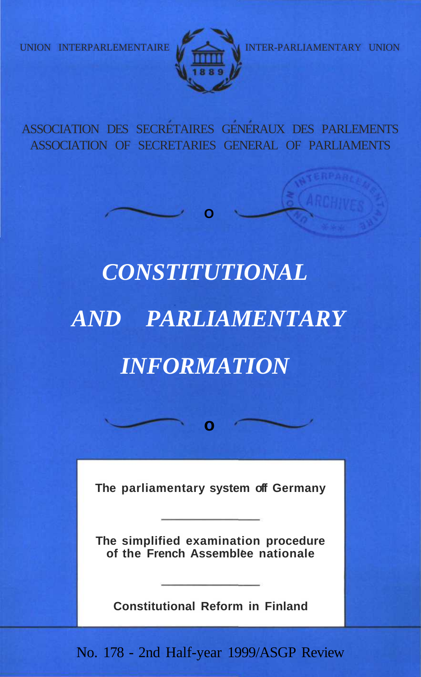

UNION INTERPARLEMENTAIRE INTER-PARLIAMENTARY UNION

ASSOCIATION DES SECRETAIRES GENERAUX DES PARLEMENTS ASSOCIATION OF SECRETARIES GENERAL OF PARLIAMENTS

**O**

# *CONSTITUTIONAL AND PARLIAMENTARY INFORMATION*

**The parliamentary system off Germany**

**o**

**The simplified examination procedure of the French Assemblee nationale**

**Constitutional Reform in Finland**

No. 178 - 2nd Half-year 1999/ASGP Review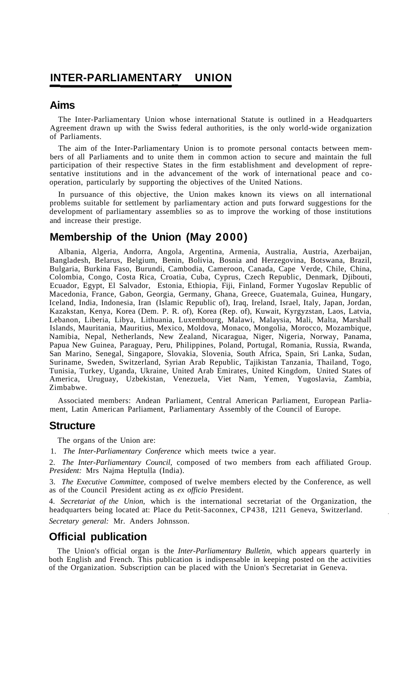#### **INTER-PARLIAMENTARY UNION**

#### **Aims**

The Inter-Parliamentary Union whose international Statute is outlined in a Headquarters Agreement drawn up with the Swiss federal authorities, is the only world-wide organization of Parliaments.

The aim of the Inter-Parliamentary Union is to promote personal contacts between members of all Parliaments and to unite them in common action to secure and maintain the full participation of their respective States in the firm establishment and development of representative institutions and in the advancement of the work of international peace and cooperation, particularly by supporting the objectives of the United Nations.

In pursuance of this objective, the Union makes known its views on all international problems suitable for settlement by parliamentary action and puts forward suggestions for the development of parliamentary assemblies so as to improve the working of those institutions and increase their prestige.

#### **Membership of the Union (May 2000)**

Albania, Algeria, Andorra, Angola, Argentina, Armenia, Australia, Austria, Azerbaijan, Bangladesh, Belarus, Belgium, Benin, Bolivia, Bosnia and Herzegovina, Botswana, Brazil, Bulgaria, Burkina Faso, Burundi, Cambodia, Cameroon, Canada, Cape Verde, Chile, China, Colombia, Congo, Costa Rica, Croatia, Cuba, Cyprus, Czech Republic, Denmark, Djibouti, Ecuador, Egypt, El Salvador, Estonia, Ethiopia, Fiji, Finland, Former Yugoslav Republic of Macedonia, France, Gabon, Georgia, Germany, Ghana, Greece, Guatemala, Guinea, Hungary, Iceland, India, Indonesia, Iran (Islamic Republic of), Iraq, Ireland, Israel, Italy, Japan, Jordan, Kazakstan, Kenya, Korea (Dem. P. R. of), Korea (Rep. of), Kuwait, Kyrgyzstan, Laos, Latvia, Lebanon, Liberia, Libya, Lithuania, Luxembourg, Malawi, Malaysia, Mali, Malta, Marshall Islands, Mauritania, Mauritius, Mexico, Moldova, Monaco, Mongolia, Morocco, Mozambique, Namibia, Nepal, Netherlands, New Zealand, Nicaragua, Niger, Nigeria, Norway, Panama, Papua New Guinea, Paraguay, Peru, Philippines, Poland, Portugal, Romania, Russia, Rwanda, San Marino, Senegal, Singapore, Slovakia, Slovenia, South Africa, Spain, Sri Lanka, Sudan, Suriname, Sweden, Switzerland, Syrian Arab Republic, Tajikistan Tanzania, Thailand, Togo, Tunisia, Turkey, Uganda, Ukraine, United Arab Emirates, United Kingdom, United States of America, Uruguay, Uzbekistan, Venezuela, Viet Nam, Yemen, Yugoslavia, Zambia, Zimbabwe.

Associated members: Andean Parliament, Central American Parliament, European Parliament, Latin American Parliament, Parliamentary Assembly of the Council of Europe.

#### **Structure**

The organs of the Union are:

1. *The Inter-Parliamentary Conference* which meets twice a year.

2. *The Inter-Parliamentary Council,* composed of two members from each affiliated Group. *President:* Mrs Najma Heptulla (India).

3. *The Executive Committee,* composed of twelve members elected by the Conference, as well as of the Council President acting as *ex officio* President.

4. *Secretariat of the Union,* which is the international secretariat of the Organization, the headquarters being located at: Place du Petit-Saconnex, CP438, 1211 Geneva, Switzerland. *Secretary general:* Mr. Anders Johnsson.

#### **Official publication**

The Union's official organ is the *Inter-Parliamentary Bulletin,* which appears quarterly in both English and French. This publication is indispensable in keeping posted on the activities of the Organization. Subscription can be placed with the Union's Secretariat in Geneva.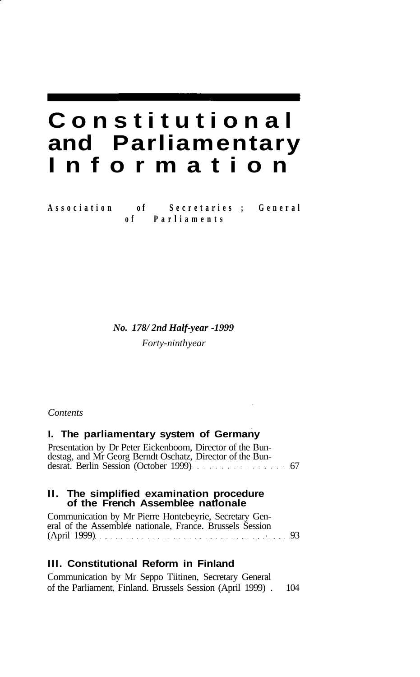## **Constitutiona l and Parliamentary Informatio n**

**Associatio n o f Secretarie s ; Genera l o f Parliament s**

*No. 178/ 2nd Half-year -1999*

*Forty-ninth year*

#### *Contents*

#### **I. The parliamentary system of Germany**

Presentation by Dr Peter Eickenboom, Director of the Bundestag, and Mr Georg Berndt Oschatz, Director of the Bundesrat. Berlin Session (October 1999) 67

#### **II. The simplified examination procedure of the French Assemblee nationale**

Communication by Mr Pierre Hontebeyrie, Secretary General of the Assemblée nationale, France. Brussels Session (April 1999) (33

#### **III. Constitutional Reform in Finland**

Communication by Mr Seppo Tiitinen, Secretary General of the Parliament, Finland. Brussels Session (April 1999) . 104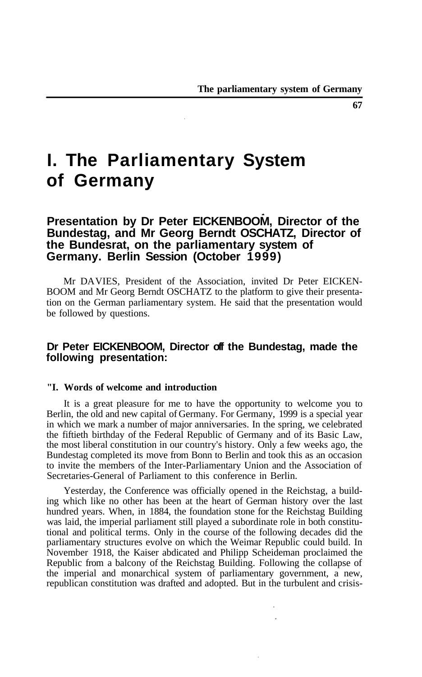### **I. The Parliamentary System of Germany**

#### **Presentation by Dr Peter EICKENBOOM, Director of the Bundestag, and Mr Georg Berndt OSCHATZ, Director of the Bundesrat, on the parliamentary system of Germany. Berlin Session (October 1999)**

Mr DA VIES, President of the Association, invited Dr Peter EICKEN-BOOM and Mr Georg Berndt OSCHATZ to the platform to give their presentation on the German parliamentary system. He said that the presentation would be followed by questions.

#### **Dr Peter EICKENBOOM, Director off the Bundestag, made the following presentation:**

#### **"I. Words of welcome and introduction**

It is a great pleasure for me to have the opportunity to welcome you to Berlin, the old and new capital of Germany. For Germany, 1999 is a special year in which we mark a number of major anniversaries. In the spring, we celebrated the fiftieth birthday of the Federal Republic of Germany and of its Basic Law, the most liberal constitution in our country's history. Only a few weeks ago, the Bundestag completed its move from Bonn to Berlin and took this as an occasion to invite the members of the Inter-Parliamentary Union and the Association of Secretaries-General of Parliament to this conference in Berlin.

Yesterday, the Conference was officially opened in the Reichstag, a building which like no other has been at the heart of German history over the last hundred years. When, in 1884, the foundation stone for the Reichstag Building was laid, the imperial parliament still played a subordinate role in both constitutional and political terms. Only in the course of the following decades did the parliamentary structures evolve on which the Weimar Republic could build. In November 1918, the Kaiser abdicated and Philipp Scheideman proclaimed the Republic from a balcony of the Reichstag Building. Following the collapse of the imperial and monarchical system of parliamentary government, a new, republican constitution was drafted and adopted. But in the turbulent and crisis-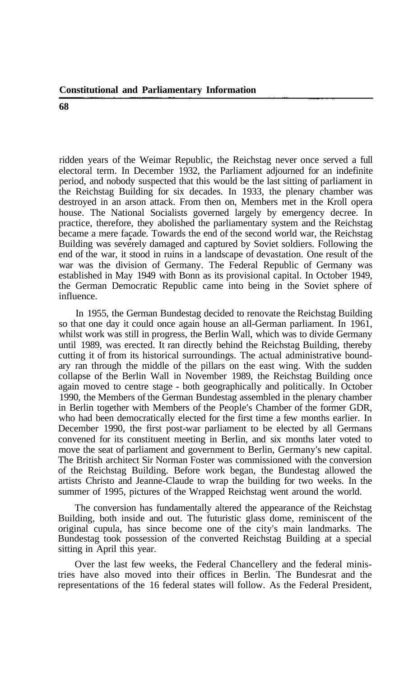ridden years of the Weimar Republic, the Reichstag never once served a full electoral term. In December 1932, the Parliament adjourned for an indefinite period, and nobody suspected that this would be the last sitting of parliament in the Reichstag Building for six decades. In 1933, the plenary chamber was destroyed in an arson attack. From then on, Members met in the Kroll opera house. The National Socialists governed largely by emergency decree. In practice, therefore, they abolished the parliamentary system and the Reichstag became a mere facade. Towards the end of the second world war, the Reichstag Building was severely damaged and captured by Soviet soldiers. Following the end of the war, it stood in ruins in a landscape of devastation. One result of the war was the division of Germany. The Federal Republic of Germany was established in May 1949 with Bonn as its provisional capital. In October 1949, the German Democratic Republic came into being in the Soviet sphere of influence.

In 1955, the German Bundestag decided to renovate the Reichstag Building so that one day it could once again house an all-German parliament. In 1961, whilst work was still in progress, the Berlin Wall, which was to divide Germany until 1989, was erected. It ran directly behind the Reichstag Building, thereby cutting it of from its historical surroundings. The actual administrative boundary ran through the middle of the pillars on the east wing. With the sudden collapse of the Berlin Wall in November 1989, the Reichstag Building once again moved to centre stage - both geographically and politically. In October 1990, the Members of the German Bundestag assembled in the plenary chamber in Berlin together with Members of the People's Chamber of the former GDR, who had been democratically elected for the first time a few months earlier. In December 1990, the first post-war parliament to be elected by all Germans convened for its constituent meeting in Berlin, and six months later voted to move the seat of parliament and government to Berlin, Germany's new capital. The British architect Sir Norman Foster was commissioned with the conversion of the Reichstag Building. Before work began, the Bundestag allowed the artists Christo and Jeanne-Claude to wrap the building for two weeks. In the summer of 1995, pictures of the Wrapped Reichstag went around the world.

The conversion has fundamentally altered the appearance of the Reichstag Building, both inside and out. The futuristic glass dome, reminiscent of the original cupula, has since become one of the city's main landmarks. The Bundestag took possession of the converted Reichstag Building at a special sitting in April this year.

Over the last few weeks, the Federal Chancellery and the federal ministries have also moved into their offices in Berlin. The Bundesrat and the representations of the 16 federal states will follow. As the Federal President,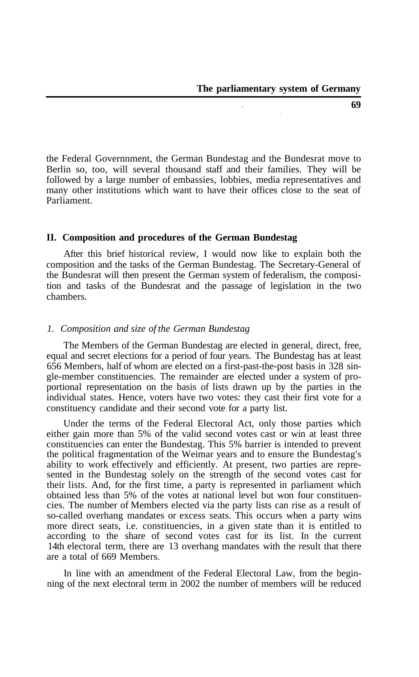the Federal Governnment, the German Bundestag and the Bundesrat move to Berlin so, too, will several thousand staff and their families. They will be followed by a large number of embassies, lobbies, media representatives and many other institutions which want to have their offices close to the seat of Parliament.

#### **II. Composition and procedures of the German Bundestag**

After this brief historical review, I would now like to explain both the composition and the tasks of the German Bundestag. The Secretary-General of the Bundesrat will then present the German system of federalism, the composition and tasks of the Bundesrat and the passage of legislation in the two chambers.

#### *1. Composition and size of the German Bundestag*

The Members of the German Bundestag are elected in general, direct, free, equal and secret elections for a period of four years. The Bundestag has at least 656 Members, half of whom are elected on a first-past-the-post basis in 328 single-member constituencies. The remainder are elected under a system of proportional representation on the basis of lists drawn up by the parties in the individual states. Hence, voters have two votes: they cast their first vote for a constituency candidate and their second vote for a party list.

Under the terms of the Federal Electoral Act, only those parties which either gain more than 5% of the valid second votes cast or win at least three constituencies can enter the Bundestag. This 5% barrier is intended to prevent the political fragmentation of the Weimar years and to ensure the Bundestag's ability to work effectively and efficiently. At present, two parties are represented in the Bundestag solely on the strength of the second votes cast for their lists. And, for the first time, a party is represented in parliament which obtained less than 5% of the votes at national level but won four constituencies. The number of Members elected via the party lists can rise as a result of so-called overhang mandates or excess seats. This occurs when a party wins more direct seats, i.e. constituencies, in a given state than it is entitled to according to the share of second votes cast for its list. In the current 14th electoral term, there are 13 overhang mandates with the result that there are a total of 669 Members.

In line with an amendment of the Federal Electoral Law, from the beginning of the next electoral term in 2002 the number of members will be reduced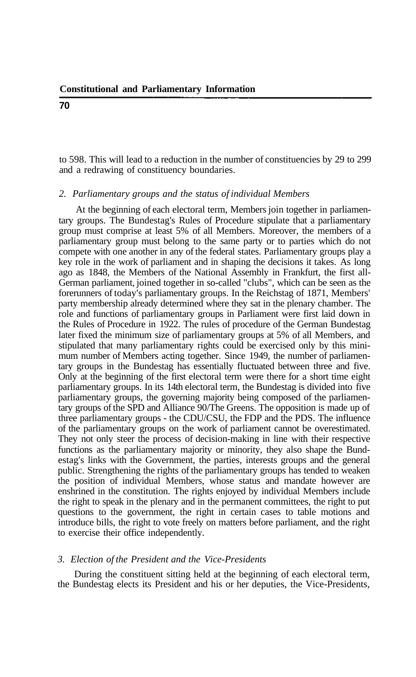to 598. This will lead to a reduction in the number of constituencies by 29 to 299 and a redrawing of constituency boundaries.

#### *2. Parliamentary groups and the status of individual Members*

At the beginning of each electoral term, Members join together in parliamentary groups. The Bundestag's Rules of Procedure stipulate that a parliamentary group must comprise at least 5% of all Members. Moreover, the members of a parliamentary group must belong to the same party or to parties which do not compete with one another in any of the federal states. Parliamentary groups play a key role in the work of parliament and in shaping the decisions it takes. As long ago as 1848, the Members of the National Assembly in Frankfurt, the first all-German parliament, joined together in so-called "clubs", which can be seen as the forerunners of today's parliamentary groups. In the Reichstag of 1871, Members' party membership already determined where they sat in the plenary chamber. The role and functions of parliamentary groups in Parliament were first laid down in the Rules of Procedure in 1922. The rules of procedure of the German Bundestag later fixed the minimum size of parliamentary groups at 5% of all Members, and stipulated that many parliamentary rights could be exercised only by this minimum number of Members acting together. Since 1949, the number of parliamentary groups in the Bundestag has essentially fluctuated between three and five. Only at the beginning of the first electoral term were there for a short time eight parliamentary groups. In its 14th electoral term, the Bundestag is divided into five parliamentary groups, the governing majority being composed of the parliamentary groups of the SPD and Alliance 90/The Greens. The opposition is made up of three parliamentary groups - the CDU/CSU, the FDP and the PDS. The influence of the parliamentary groups on the work of parliament cannot be overestimated. They not only steer the process of decision-making in line with their respective functions as the parliamentary majority or minority, they also shape the Bundestag's links with the Government, the parties, interests groups and the general public. Strengthening the rights of the parliamentary groups has tended to weaken the position of individual Members, whose status and mandate however are enshrined in the constitution. The rights enjoyed by individual Members include the right to speak in the plenary and in the permanent committees, the right to put questions to the government, the right in certain cases to table motions and introduce bills, the right to vote freely on matters before parliament, and the right to exercise their office independently.

#### *3. Election of the President and the Vice-Presidents*

During the constituent sitting held at the beginning of each electoral term, the Bundestag elects its President and his or her deputies, the Vice-Presidents,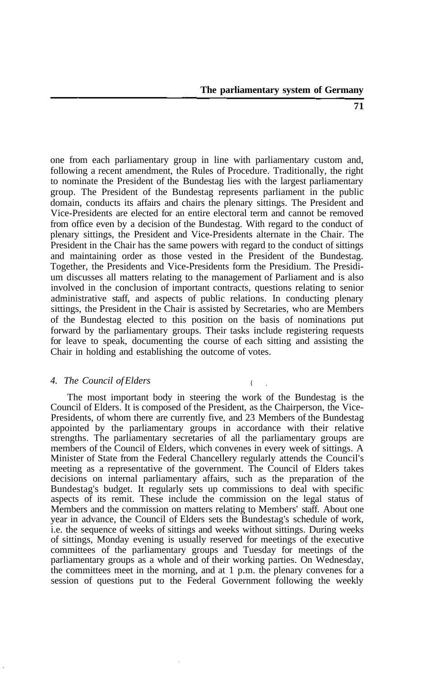one from each parliamentary group in line with parliamentary custom and, following a recent amendment, the Rules of Procedure. Traditionally, the right to nominate the President of the Bundestag lies with the largest parliamentary group. The President of the Bundestag represents parliament in the public domain, conducts its affairs and chairs the plenary sittings. The President and Vice-Presidents are elected for an entire electoral term and cannot be removed from office even by a decision of the Bundestag. With regard to the conduct of plenary sittings, the President and Vice-Presidents alternate in the Chair. The President in the Chair has the same powers with regard to the conduct of sittings and maintaining order as those vested in the President of the Bundestag. Together, the Presidents and Vice-Presidents form the Presidium. The Presidium discusses all matters relating to the management of Parliament and is also involved in the conclusion of important contracts, questions relating to senior administrative staff, and aspects of public relations. In conducting plenary sittings, the President in the Chair is assisted by Secretaries, who are Members of the Bundestag elected to this position on the basis of nominations put forward by the parliamentary groups. Their tasks include registering requests for leave to speak, documenting the course of each sitting and assisting the Chair in holding and establishing the outcome of votes.

#### *4. The Council of Elders* {

The most important body in steering the work of the Bundestag is the Council of Elders. It is composed of the President, as the Chairperson, the Vice-Presidents, of whom there are currently five, and 23 Members of the Bundestag appointed by the parliamentary groups in accordance with their relative strengths. The parliamentary secretaries of all the parliamentary groups are members of the Council of Elders, which convenes in every week of sittings. A Minister of State from the Federal Chancellery regularly attends the Council's meeting as a representative of the government. The Council of Elders takes decisions on internal parliamentary affairs, such as the preparation of the Bundestag's budget. It regularly sets up commissions to deal with specific aspects of its remit. These include the commission on the legal status of Members and the commission on matters relating to Members' staff. About one year in advance, the Council of Elders sets the Bundestag's schedule of work, i.e. the sequence of weeks of sittings and weeks without sittings. During weeks of sittings, Monday evening is usually reserved for meetings of the executive committees of the parliamentary groups and Tuesday for meetings of the parliamentary groups as a whole and of their working parties. On Wednesday, the committees meet in the morning, and at 1 p.m. the plenary convenes for a session of questions put to the Federal Government following the weekly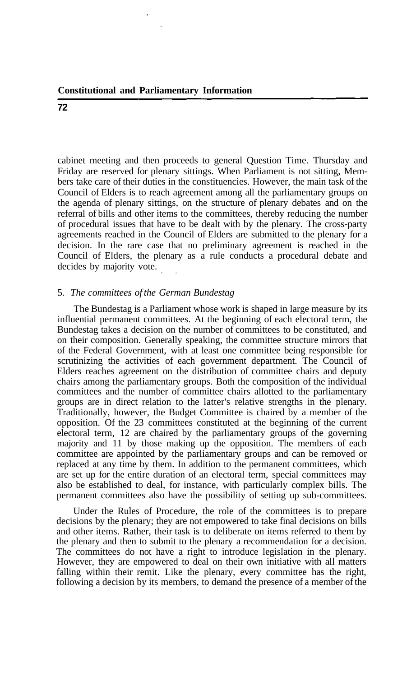cabinet meeting and then proceeds to general Question Time. Thursday and Friday are reserved for plenary sittings. When Parliament is not sitting, Members take care of their duties in the constituencies. However, the main task of the Council of Elders is to reach agreement among all the parliamentary groups on the agenda of plenary sittings, on the structure of plenary debates and on the referral of bills and other items to the committees, thereby reducing the number of procedural issues that have to be dealt with by the plenary. The cross-party agreements reached in the Council of Elders are submitted to the plenary for a decision. In the rare case that no preliminary agreement is reached in the Council of Elders, the plenary as a rule conducts a procedural debate and decides by majority vote.

#### 5. *The committees of the German Bundestag*

The Bundestag is a Parliament whose work is shaped in large measure by its influential permanent committees. At the beginning of each electoral term, the Bundestag takes a decision on the number of committees to be constituted, and on their composition. Generally speaking, the committee structure mirrors that of the Federal Government, with at least one committee being responsible for scrutinizing the activities of each government department. The Council of Elders reaches agreement on the distribution of committee chairs and deputy chairs among the parliamentary groups. Both the composition of the individual committees and the number of committee chairs allotted to the parliamentary groups are in direct relation to the latter's relative strengths in the plenary. Traditionally, however, the Budget Committee is chaired by a member of the opposition. Of the 23 committees constituted at the beginning of the current electoral term, 12 are chaired by the parliamentary groups of the governing majority and 11 by those making up the opposition. The members of each committee are appointed by the parliamentary groups and can be removed or replaced at any time by them. In addition to the permanent committees, which are set up for the entire duration of an electoral term, special committees may also be established to deal, for instance, with particularly complex bills. The permanent committees also have the possibility of setting up sub-committees.

Under the Rules of Procedure, the role of the committees is to prepare decisions by the plenary; they are not empowered to take final decisions on bills and other items. Rather, their task is to deliberate on items referred to them by the plenary and then to submit to the plenary a recommendation for a decision. The committees do not have a right to introduce legislation in the plenary. However, they are empowered to deal on their own initiative with all matters falling within their remit. Like the plenary, every committee has the right, following a decision by its members, to demand the presence of a member of the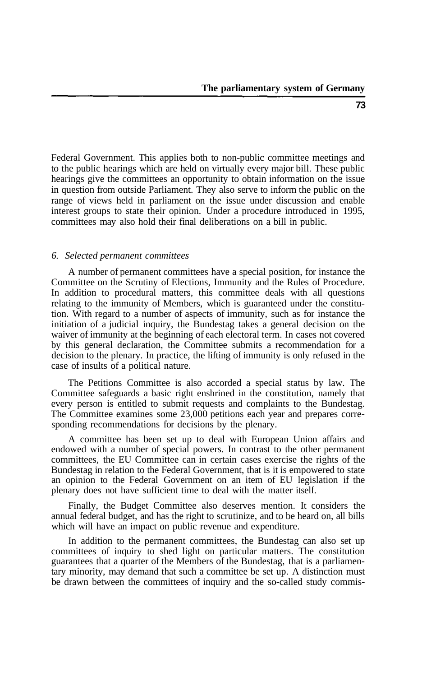Federal Government. This applies both to non-public committee meetings and to the public hearings which are held on virtually every major bill. These public hearings give the committees an opportunity to obtain information on the issue in question from outside Parliament. They also serve to inform the public on the range of views held in parliament on the issue under discussion and enable interest groups to state their opinion. Under a procedure introduced in 1995, committees may also hold their final deliberations on a bill in public.

#### *6. Selected permanent committees*

A number of permanent committees have a special position, for instance the Committee on the Scrutiny of Elections, Immunity and the Rules of Procedure. In addition to procedural matters, this committee deals with all questions relating to the immunity of Members, which is guaranteed under the constitution. With regard to a number of aspects of immunity, such as for instance the initiation of a judicial inquiry, the Bundestag takes a general decision on the waiver of immunity at the beginning of each electoral term. In cases not covered by this general declaration, the Committee submits a recommendation for a decision to the plenary. In practice, the lifting of immunity is only refused in the case of insults of a political nature.

The Petitions Committee is also accorded a special status by law. The Committee safeguards a basic right enshrined in the constitution, namely that every person is entitled to submit requests and complaints to the Bundestag. The Committee examines some 23,000 petitions each year and prepares corresponding recommendations for decisions by the plenary.

A committee has been set up to deal with European Union affairs and endowed with a number of special powers. In contrast to the other permanent committees, the EU Committee can in certain cases exercise the rights of the Bundestag in relation to the Federal Government, that is it is empowered to state an opinion to the Federal Government on an item of EU legislation if the plenary does not have sufficient time to deal with the matter itself.

Finally, the Budget Committee also deserves mention. It considers the annual federal budget, and has the right to scrutinize, and to be heard on, all bills which will have an impact on public revenue and expenditure.

In addition to the permanent committees, the Bundestag can also set up committees of inquiry to shed light on particular matters. The constitution guarantees that a quarter of the Members of the Bundestag, that is a parliamentary minority, may demand that such a committee be set up. A distinction must be drawn between the committees of inquiry and the so-called study commis-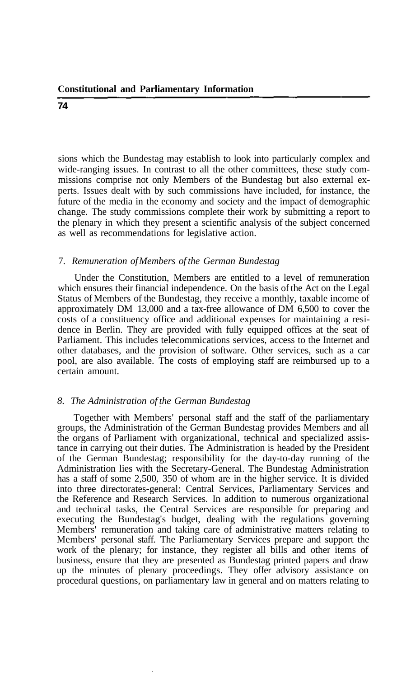sions which the Bundestag may establish to look into particularly complex and wide-ranging issues. In contrast to all the other committees, these study commissions comprise not only Members of the Bundestag but also external experts. Issues dealt with by such commissions have included, for instance, the future of the media in the economy and society and the impact of demographic change. The study commissions complete their work by submitting a report to the plenary in which they present a scientific analysis of the subject concerned as well as recommendations for legislative action.

#### 7. *Remuneration of Members of the German Bundestag*

Under the Constitution, Members are entitled to a level of remuneration which ensures their financial independence. On the basis of the Act on the Legal Status of Members of the Bundestag, they receive a monthly, taxable income of approximately DM 13,000 and a tax-free allowance of DM 6,500 to cover the costs of a constituency office and additional expenses for maintaining a residence in Berlin. They are provided with fully equipped offices at the seat of Parliament. This includes telecommications services, access to the Internet and other databases, and the provision of software. Other services, such as a car pool, are also available. The costs of employing staff are reimbursed up to a certain amount.

#### *8. The Administration of the German Bundestag*

Together with Members' personal staff and the staff of the parliamentary groups, the Administration of the German Bundestag provides Members and all the organs of Parliament with organizational, technical and specialized assistance in carrying out their duties. The Administration is headed by the President of the German Bundestag; responsibility for the day-to-day running of the Administration lies with the Secretary-General. The Bundestag Administration has a staff of some 2,500, 350 of whom are in the higher service. It is divided into three directorates-general: Central Services, Parliamentary Services and the Reference and Research Services. In addition to numerous organizational and technical tasks, the Central Services are responsible for preparing and executing the Bundestag's budget, dealing with the regulations governing Members' remuneration and taking care of administrative matters relating to Members' personal staff. The Parliamentary Services prepare and support the work of the plenary; for instance, they register all bills and other items of business, ensure that they are presented as Bundestag printed papers and draw up the minutes of plenary proceedings. They offer advisory assistance on procedural questions, on parliamentary law in general and on matters relating to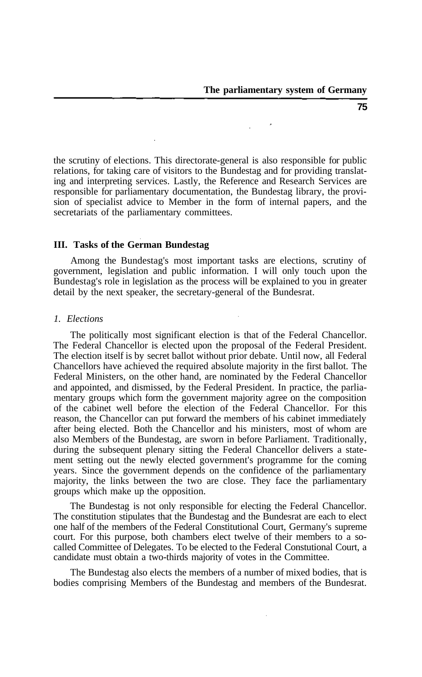the scrutiny of elections. This directorate-general is also responsible for public relations, for taking care of visitors to the Bundestag and for providing translating and interpreting services. Lastly, the Reference and Research Services are responsible for parliamentary documentation, the Bundestag library, the provision of specialist advice to Member in the form of internal papers, and the secretariats of the parliamentary committees.

#### **III. Tasks of the German Bundestag**

Among the Bundestag's most important tasks are elections, scrutiny of government, legislation and public information. I will only touch upon the Bundestag's role in legislation as the process will be explained to you in greater detail by the next speaker, the secretary-general of the Bundesrat.

#### *1. Elections*

The politically most significant election is that of the Federal Chancellor. The Federal Chancellor is elected upon the proposal of the Federal President. The election itself is by secret ballot without prior debate. Until now, all Federal Chancellors have achieved the required absolute majority in the first ballot. The Federal Ministers, on the other hand, are nominated by the Federal Chancellor and appointed, and dismissed, by the Federal President. In practice, the parliamentary groups which form the government majority agree on the composition of the cabinet well before the election of the Federal Chancellor. For this reason, the Chancellor can put forward the members of his cabinet immediately after being elected. Both the Chancellor and his ministers, most of whom are also Members of the Bundestag, are sworn in before Parliament. Traditionally, during the subsequent plenary sitting the Federal Chancellor delivers a statement setting out the newly elected government's programme for the coming years. Since the government depends on the confidence of the parliamentary majority, the links between the two are close. They face the parliamentary groups which make up the opposition.

The Bundestag is not only responsible for electing the Federal Chancellor. The constitution stipulates that the Bundestag and the Bundesrat are each to elect one half of the members of the Federal Constitutional Court, Germany's supreme court. For this purpose, both chambers elect twelve of their members to a socalled Committee of Delegates. To be elected to the Federal Constutional Court, a candidate must obtain a two-thirds majority of votes in the Committee.

The Bundestag also elects the members of a number of mixed bodies, that is bodies comprising Members of the Bundestag and members of the Bundesrat.

**75**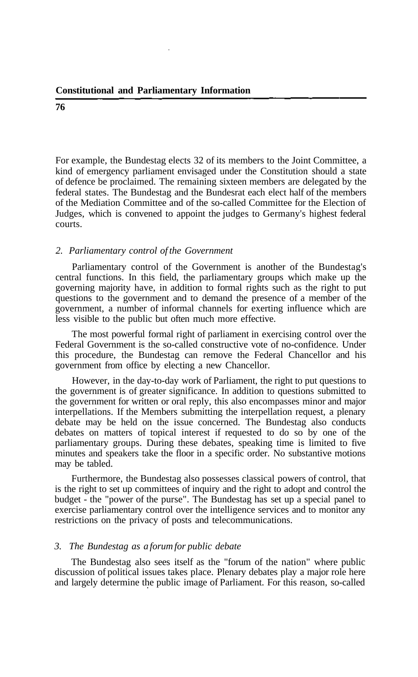For example, the Bundestag elects 32 of its members to the Joint Committee, a kind of emergency parliament envisaged under the Constitution should a state of defence be proclaimed. The remaining sixteen members are delegated by the federal states. The Bundestag and the Bundesrat each elect half of the members of the Mediation Committee and of the so-called Committee for the Election of Judges, which is convened to appoint the judges to Germany's highest federal courts.

#### *2. Parliamentary control of the Government*

Parliamentary control of the Government is another of the Bundestag's central functions. In this field, the parliamentary groups which make up the governing majority have, in addition to formal rights such as the right to put questions to the government and to demand the presence of a member of the government, a number of informal channels for exerting influence which are less visible to the public but often much more effective.

The most powerful formal right of parliament in exercising control over the Federal Government is the so-called constructive vote of no-confidence. Under this procedure, the Bundestag can remove the Federal Chancellor and his government from office by electing a new Chancellor.

However, in the day-to-day work of Parliament, the right to put questions to the government is of greater significance. In addition to questions submitted to the government for written or oral reply, this also encompasses minor and major interpellations. If the Members submitting the interpellation request, a plenary debate may be held on the issue concerned. The Bundestag also conducts debates on matters of topical interest if requested to do so by one of the parliamentary groups. During these debates, speaking time is limited to five minutes and speakers take the floor in a specific order. No substantive motions may be tabled.

Furthermore, the Bundestag also possesses classical powers of control, that is the right to set up committees of inquiry and the right to adopt and control the budget - the "power of the purse". The Bundestag has set up a special panel to exercise parliamentary control over the intelligence services and to monitor any restrictions on the privacy of posts and telecommunications.

#### *3. The Bundestag as a forum for public debate*

The Bundestag also sees itself as the "forum of the nation" where public discussion of political issues takes place. Plenary debates play a major role here and largely determine the public image of Parliament. For this reason, so-called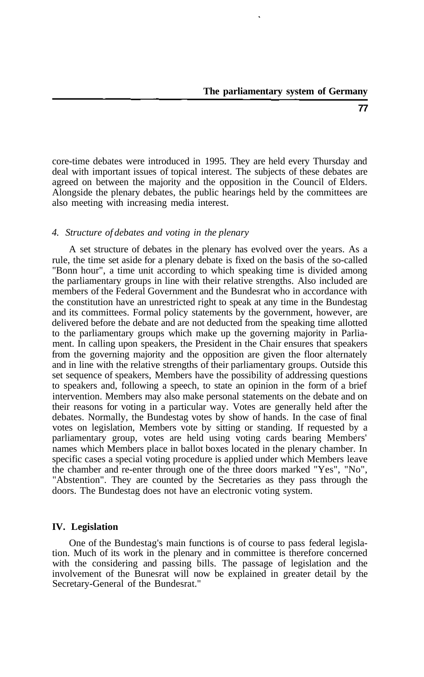core-time debates were introduced in 1995. They are held every Thursday and deal with important issues of topical interest. The subjects of these debates are agreed on between the majority and the opposition in the Council of Elders. Alongside the plenary debates, the public hearings held by the committees are also meeting with increasing media interest.

#### *4. Structure of debates and voting in the plenary*

A set structure of debates in the plenary has evolved over the years. As a rule, the time set aside for a plenary debate is fixed on the basis of the so-called "Bonn hour", a time unit according to which speaking time is divided among the parliamentary groups in line with their relative strengths. Also included are members of the Federal Government and the Bundesrat who in accordance with the constitution have an unrestricted right to speak at any time in the Bundestag and its committees. Formal policy statements by the government, however, are delivered before the debate and are not deducted from the speaking time allotted to the parliamentary groups which make up the governing majority in Parliament. In calling upon speakers, the President in the Chair ensures that speakers from the governing majority and the opposition are given the floor alternately and in line with the relative strengths of their parliamentary groups. Outside this set sequence of speakers, Members have the possibility of addressing questions to speakers and, following a speech, to state an opinion in the form of a brief intervention. Members may also make personal statements on the debate and on their reasons for voting in a particular way. Votes are generally held after the debates. Normally, the Bundestag votes by show of hands. In the case of final votes on legislation, Members vote by sitting or standing. If requested by a parliamentary group, votes are held using voting cards bearing Members' names which Members place in ballot boxes located in the plenary chamber. In specific cases a special voting procedure is applied under which Members leave the chamber and re-enter through one of the three doors marked "Yes", "No", "Abstention". They are counted by the Secretaries as they pass through the doors. The Bundestag does not have an electronic voting system.

#### **IV. Legislation**

One of the Bundestag's main functions is of course to pass federal legislation. Much of its work in the plenary and in committee is therefore concerned with the considering and passing bills. The passage of legislation and the involvement of the Bunesrat will now be explained in greater detail by the Secretary-General of the Bundesrat."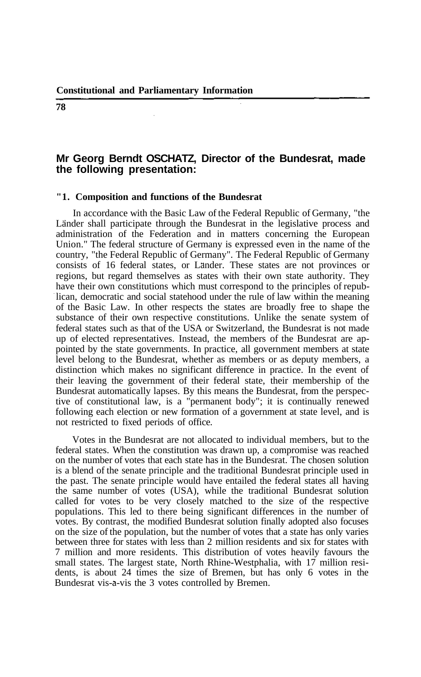#### **Mr Georg Berndt OSCHATZ, Director of the Bundesrat, made the following presentation:**

#### **"1. Composition and functions of the Bundesrat**

In accordance with the Basic Law of the Federal Republic of Germany, "the Länder shall participate through the Bundesrat in the legislative process and administration of the Federation and in matters concerning the European Union." The federal structure of Germany is expressed even in the name of the country, "the Federal Republic of Germany". The Federal Republic of Germany consists of 16 federal states, or Länder. These states are not provinces or regions, but regard themselves as states with their own state authority. They have their own constitutions which must correspond to the principles of republican, democratic and social statehood under the rule of law within the meaning of the Basic Law. In other respects the states are broadly free to shape the substance of their own respective constitutions. Unlike the senate system of federal states such as that of the USA or Switzerland, the Bundesrat is not made up of elected representatives. Instead, the members of the Bundesrat are appointed by the state governments. In practice, all government members at state level belong to the Bundesrat, whether as members or as deputy members, a distinction which makes no significant difference in practice. In the event of their leaving the government of their federal state, their membership of the Bundesrat automatically lapses. By this means the Bundesrat, from the perspective of constitutional law, is a "permanent body"; it is continually renewed following each election or new formation of a government at state level, and is not restricted to fixed periods of office.

Votes in the Bundesrat are not allocated to individual members, but to the federal states. When the constitution was drawn up, a compromise was reached on the number of votes that each state has in the Bundesrat. The chosen solution is a blend of the senate principle and the traditional Bundesrat principle used in the past. The senate principle would have entailed the federal states all having the same number of votes (USA), while the traditional Bundesrat solution called for votes to be very closely matched to the size of the respective populations. This led to there being significant differences in the number of votes. By contrast, the modified Bundesrat solution finally adopted also focuses on the size of the population, but the number of votes that a state has only varies between three for states with less than 2 million residents and six for states with 7 million and more residents. This distribution of votes heavily favours the small states. The largest state, North Rhine-Westphalia, with 17 million residents, is about 24 times the size of Bremen, but has only 6 votes in the Bundesrat vis-a-vis the 3 votes controlled by Bremen.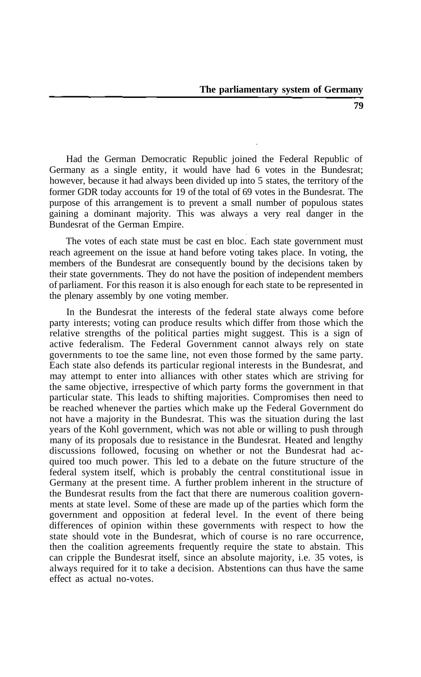Had the German Democratic Republic joined the Federal Republic of Germany as a single entity, it would have had 6 votes in the Bundesrat; however, because it had always been divided up into 5 states, the territory of the former GDR today accounts for 19 of the total of 69 votes in the Bundesrat. The purpose of this arrangement is to prevent a small number of populous states gaining a dominant majority. This was always a very real danger in the Bundesrat of the German Empire.

The votes of each state must be cast en bloc. Each state government must reach agreement on the issue at hand before voting takes place. In voting, the members of the Bundesrat are consequently bound by the decisions taken by their state governments. They do not have the position of independent members of parliament. For this reason it is also enough for each state to be represented in the plenary assembly by one voting member.

In the Bundesrat the interests of the federal state always come before party interests; voting can produce results which differ from those which the relative strengths of the political parties might suggest. This is a sign of active federalism. The Federal Government cannot always rely on state governments to toe the same line, not even those formed by the same party. Each state also defends its particular regional interests in the Bundesrat, and may attempt to enter into alliances with other states which are striving for the same objective, irrespective of which party forms the government in that particular state. This leads to shifting majorities. Compromises then need to be reached whenever the parties which make up the Federal Government do not have a majority in the Bundesrat. This was the situation during the last years of the Kohl government, which was not able or willing to push through many of its proposals due to resistance in the Bundesrat. Heated and lengthy discussions followed, focusing on whether or not the Bundesrat had acquired too much power. This led to a debate on the future structure of the federal system itself, which is probably the central constitutional issue in Germany at the present time. A further problem inherent in the structure of the Bundesrat results from the fact that there are numerous coalition governments at state level. Some of these are made up of the parties which form the government and opposition at federal level. In the event of there being differences of opinion within these governments with respect to how the state should vote in the Bundesrat, which of course is no rare occurrence, then the coalition agreements frequently require the state to abstain. This can cripple the Bundesrat itself, since an absolute majority, i.e. 35 votes, is always required for it to take a decision. Abstentions can thus have the same effect as actual no-votes.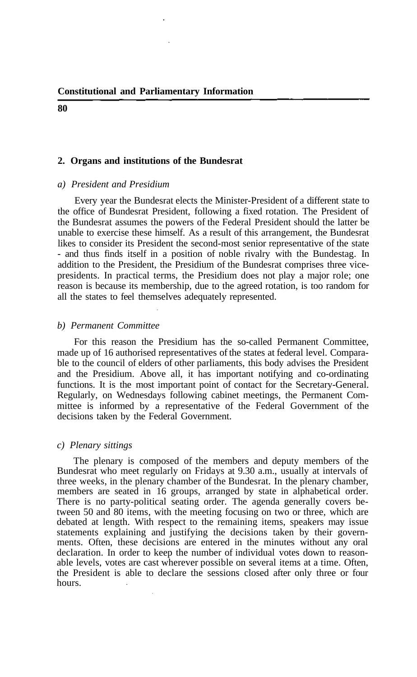#### **2. Organs and institutions of the Bundesrat**

#### *a) President and Presidium*

Every year the Bundesrat elects the Minister-President of a different state to the office of Bundesrat President, following a fixed rotation. The President of the Bundesrat assumes the powers of the Federal President should the latter be unable to exercise these himself. As a result of this arrangement, the Bundesrat likes to consider its President the second-most senior representative of the state - and thus finds itself in a position of noble rivalry with the Bundestag. In addition to the President, the Presidium of the Bundesrat comprises three vicepresidents. In practical terms, the Presidium does not play a major role; one reason is because its membership, due to the agreed rotation, is too random for all the states to feel themselves adequately represented.

#### *b) Permanent Committee*

For this reason the Presidium has the so-called Permanent Committee, made up of 16 authorised representatives of the states at federal level. Comparable to the council of elders of other parliaments, this body advises the President and the Presidium. Above all, it has important notifying and co-ordinating functions. It is the most important point of contact for the Secretary-General. Regularly, on Wednesdays following cabinet meetings, the Permanent Committee is informed by a representative of the Federal Government of the decisions taken by the Federal Government.

#### *c) Plenary sittings*

The plenary is composed of the members and deputy members of the Bundesrat who meet regularly on Fridays at 9.30 a.m., usually at intervals of three weeks, in the plenary chamber of the Bundesrat. In the plenary chamber, members are seated in 16 groups, arranged by state in alphabetical order. There is no party-political seating order. The agenda generally covers between 50 and 80 items, with the meeting focusing on two or three, which are debated at length. With respect to the remaining items, speakers may issue statements explaining and justifying the decisions taken by their governments. Often, these decisions are entered in the minutes without any oral declaration. In order to keep the number of individual votes down to reasonable levels, votes are cast wherever possible on several items at a time. Often, the President is able to declare the sessions closed after only three or four hours.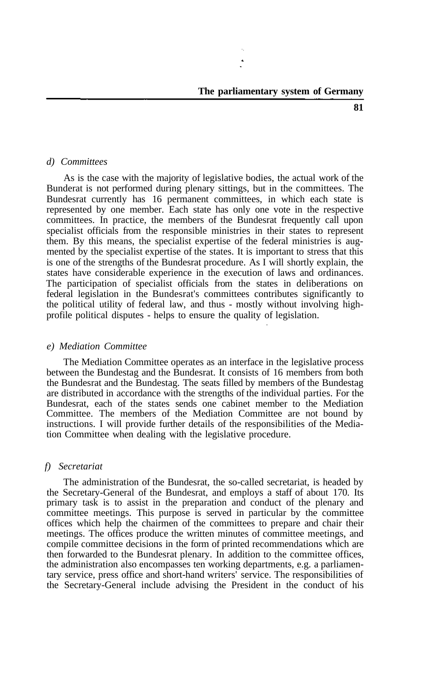#### *d) Committees*

As is the case with the majority of legislative bodies, the actual work of the Bunderat is not performed during plenary sittings, but in the committees. The Bundesrat currently has 16 permanent committees, in which each state is represented by one member. Each state has only one vote in the respective committees. In practice, the members of the Bundesrat frequently call upon specialist officials from the responsible ministries in their states to represent them. By this means, the specialist expertise of the federal ministries is augmented by the specialist expertise of the states. It is important to stress that this is one of the strengths of the Bundesrat procedure. As I will shortly explain, the states have considerable experience in the execution of laws and ordinances. The participation of specialist officials from the states in deliberations on federal legislation in the Bundesrat's committees contributes significantly to the political utility of federal law, and thus - mostly without involving highprofile political disputes - helps to ensure the quality of legislation.

#### *e) Mediation Committee*

The Mediation Committee operates as an interface in the legislative process between the Bundestag and the Bundesrat. It consists of 16 members from both the Bundesrat and the Bundestag. The seats filled by members of the Bundestag are distributed in accordance with the strengths of the individual parties. For the Bundesrat, each of the states sends one cabinet member to the Mediation Committee. The members of the Mediation Committee are not bound by instructions. I will provide further details of the responsibilities of the Mediation Committee when dealing with the legislative procedure.

#### *f) Secretariat*

The administration of the Bundesrat, the so-called secretariat, is headed by the Secretary-General of the Bundesrat, and employs a staff of about 170. Its primary task is to assist in the preparation and conduct of the plenary and committee meetings. This purpose is served in particular by the committee offices which help the chairmen of the committees to prepare and chair their meetings. The offices produce the written minutes of committee meetings, and compile committee decisions in the form of printed recommendations which are then forwarded to the Bundesrat plenary. In addition to the committee offices, the administration also encompasses ten working departments, e.g. a parliamentary service, press office and short-hand writers' service. The responsibilities of the Secretary-General include advising the President in the conduct of his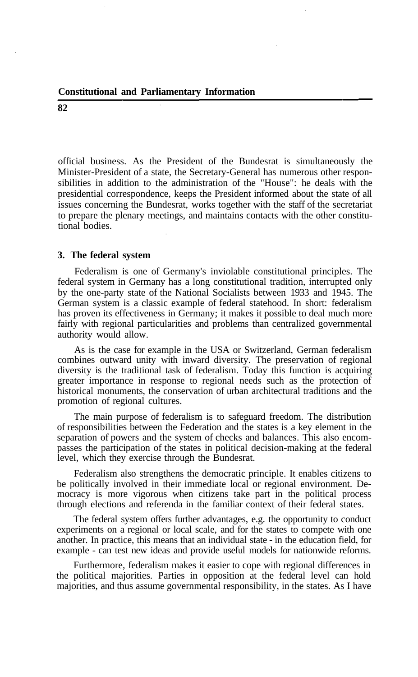official business. As the President of the Bundesrat is simultaneously the Minister-President of a state, the Secretary-General has numerous other responsibilities in addition to the administration of the "House": he deals with the presidential correspondence, keeps the President informed about the state of all issues concerning the Bundesrat, works together with the staff of the secretariat to prepare the plenary meetings, and maintains contacts with the other constitutional bodies.

#### **3. The federal system**

Federalism is one of Germany's inviolable constitutional principles. The federal system in Germany has a long constitutional tradition, interrupted only by the one-party state of the National Socialists between 1933 and 1945. The German system is a classic example of federal statehood. In short: federalism has proven its effectiveness in Germany; it makes it possible to deal much more fairly with regional particularities and problems than centralized governmental authority would allow.

As is the case for example in the USA or Switzerland, German federalism combines outward unity with inward diversity. The preservation of regional diversity is the traditional task of federalism. Today this function is acquiring greater importance in response to regional needs such as the protection of historical monuments, the conservation of urban architectural traditions and the promotion of regional cultures.

The main purpose of federalism is to safeguard freedom. The distribution of responsibilities between the Federation and the states is a key element in the separation of powers and the system of checks and balances. This also encompasses the participation of the states in political decision-making at the federal level, which they exercise through the Bundesrat.

Federalism also strengthens the democratic principle. It enables citizens to be politically involved in their immediate local or regional environment. Democracy is more vigorous when citizens take part in the political process through elections and referenda in the familiar context of their federal states.

The federal system offers further advantages, e.g. the opportunity to conduct experiments on a regional or local scale, and for the states to compete with one another. In practice, this means that an individual state - in the education field, for example - can test new ideas and provide useful models for nationwide reforms.

Furthermore, federalism makes it easier to cope with regional differences in the political majorities. Parties in opposition at the federal level can hold majorities, and thus assume governmental responsibility, in the states. As I have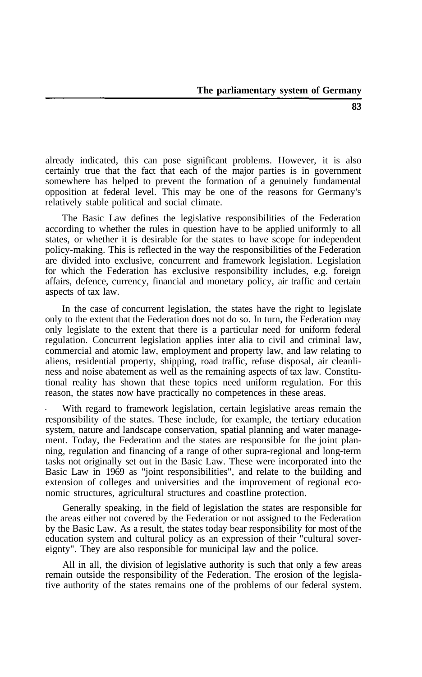already indicated, this can pose significant problems. However, it is also certainly true that the fact that each of the major parties is in government somewhere has helped to prevent the formation of a genuinely fundamental opposition at federal level. This may be one of the reasons for Germany's relatively stable political and social climate.

The Basic Law defines the legislative responsibilities of the Federation according to whether the rules in question have to be applied uniformly to all states, or whether it is desirable for the states to have scope for independent policy-making. This is reflected in the way the responsibilities of the Federation are divided into exclusive, concurrent and framework legislation. Legislation for which the Federation has exclusive responsibility includes, e.g. foreign affairs, defence, currency, financial and monetary policy, air traffic and certain aspects of tax law.

In the case of concurrent legislation, the states have the right to legislate only to the extent that the Federation does not do so. In turn, the Federation may only legislate to the extent that there is a particular need for uniform federal regulation. Concurrent legislation applies inter alia to civil and criminal law, commercial and atomic law, employment and property law, and law relating to aliens, residential property, shipping, road traffic, refuse disposal, air cleanliness and noise abatement as well as the remaining aspects of tax law. Constitutional reality has shown that these topics need uniform regulation. For this reason, the states now have practically no competences in these areas.

With regard to framework legislation, certain legislative areas remain the responsibility of the states. These include, for example, the tertiary education system, nature and landscape conservation, spatial planning and water management. Today, the Federation and the states are responsible for the joint planning, regulation and financing of a range of other supra-regional and long-term tasks not originally set out in the Basic Law. These were incorporated into the Basic Law in 1969 as "joint responsibilities", and relate to the building and extension of colleges and universities and the improvement of regional economic structures, agricultural structures and coastline protection.

Generally speaking, in the field of legislation the states are responsible for the areas either not covered by the Federation or not assigned to the Federation by the Basic Law. As a result, the states today bear responsibility for most of the education system and cultural policy as an expression of their "cultural sovereignty". They are also responsible for municipal law and the police.

All in all, the division of legislative authority is such that only a few areas remain outside the responsibility of the Federation. The erosion of the legislative authority of the states remains one of the problems of our federal system.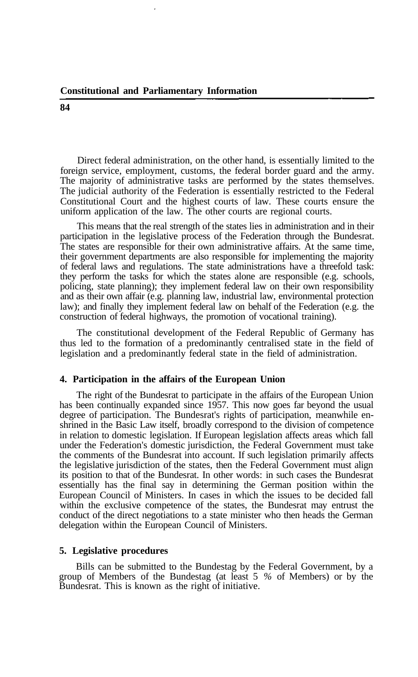Direct federal administration, on the other hand, is essentially limited to the foreign service, employment, customs, the federal border guard and the army. The majority of administrative tasks are performed by the states themselves. The judicial authority of the Federation is essentially restricted to the Federal Constitutional Court and the highest courts of law. These courts ensure the uniform application of the law. The other courts are regional courts.

This means that the real strength of the states lies in administration and in their participation in the legislative process of the Federation through the Bundesrat. The states are responsible for their own administrative affairs. At the same time, their government departments are also responsible for implementing the majority of federal laws and regulations. The state administrations have a threefold task: they perform the tasks for which the states alone are responsible (e.g. schools, policing, state planning); they implement federal law on their own responsibility and as their own affair (e.g. planning law, industrial law, environmental protection law); and finally they implement federal law on behalf of the Federation (e.g. the construction of federal highways, the promotion of vocational training).

The constitutional development of the Federal Republic of Germany has thus led to the formation of a predominantly centralised state in the field of legislation and a predominantly federal state in the field of administration.

#### **4. Participation in the affairs of the European Union**

The right of the Bundesrat to participate in the affairs of the European Union has been continually expanded since 1957. This now goes far beyond the usual degree of participation. The Bundesrat's rights of participation, meanwhile enshrined in the Basic Law itself, broadly correspond to the division of competence in relation to domestic legislation. If European legislation affects areas which fall under the Federation's domestic jurisdiction, the Federal Government must take the comments of the Bundesrat into account. If such legislation primarily affects the legislative jurisdiction of the states, then the Federal Government must align its position to that of the Bundesrat. In other words: in such cases the Bundesrat essentially has the final say in determining the German position within the European Council of Ministers. In cases in which the issues to be decided fall within the exclusive competence of the states, the Bundesrat may entrust the conduct of the direct negotiations to a state minister who then heads the German delegation within the European Council of Ministers.

#### **5. Legislative procedures**

Bills can be submitted to the Bundestag by the Federal Government, by a group of Members of the Bundestag (at least 5 *%* of Members) or by the Bundesrat. This is known as the right of initiative.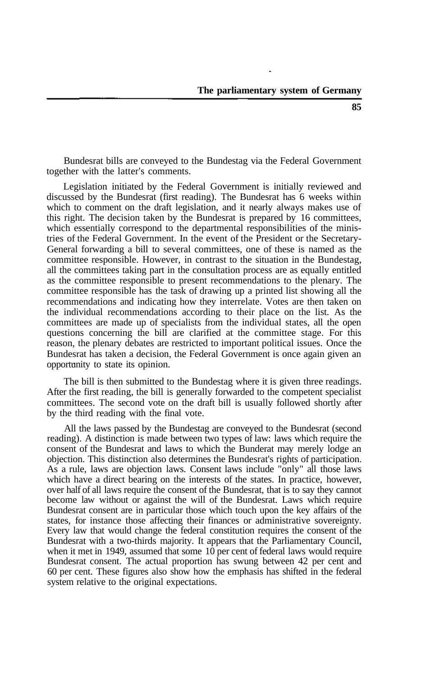Bundesrat bills are conveyed to the Bundestag via the Federal Government together with the latter's comments.

Legislation initiated by the Federal Government is initially reviewed and discussed by the Bundesrat (first reading). The Bundesrat has 6 weeks within which to comment on the draft legislation, and it nearly always makes use of this right. The decision taken by the Bundesrat is prepared by 16 committees, which essentially correspond to the departmental responsibilities of the ministries of the Federal Government. In the event of the President or the Secretary-General forwarding a bill to several committees, one of these is named as the committee responsible. However, in contrast to the situation in the Bundestag, all the committees taking part in the consultation process are as equally entitled as the committee responsible to present recommendations to the plenary. The committee responsible has the task of drawing up a printed list showing all the recommendations and indicating how they interrelate. Votes are then taken on the individual recommendations according to their place on the list. As the committees are made up of specialists from the individual states, all the open questions concerning the bill are clarified at the committee stage. For this reason, the plenary debates are restricted to important political issues. Once the Bundesrat has taken a decision, the Federal Government is once again given an opportunity to state its opinion.

The bill is then submitted to the Bundestag where it is given three readings. After the first reading, the bill is generally forwarded to the competent specialist committees. The second vote on the draft bill is usually followed shortly after by the third reading with the final vote.

All the laws passed by the Bundestag are conveyed to the Bundesrat (second reading). A distinction is made between two types of law: laws which require the consent of the Bundesrat and laws to which the Bunderat may merely lodge an objection. This distinction also determines the Bundesrat's rights of participation. As a rule, laws are objection laws. Consent laws include "only" all those laws which have a direct bearing on the interests of the states. In practice, however, over half of all laws require the consent of the Bundesrat, that is to say they cannot become law without or against the will of the Bundesrat. Laws which require Bundesrat consent are in particular those which touch upon the key affairs of the states, for instance those affecting their finances or administrative sovereignty. Every law that would change the federal constitution requires the consent of the Bundesrat with a two-thirds majority. It appears that the Parliamentary Council, when it met in 1949, assumed that some 10 per cent of federal laws would require Bundesrat consent. The actual proportion has swung between 42 per cent and 60 per cent. These figures also show how the emphasis has shifted in the federal system relative to the original expectations.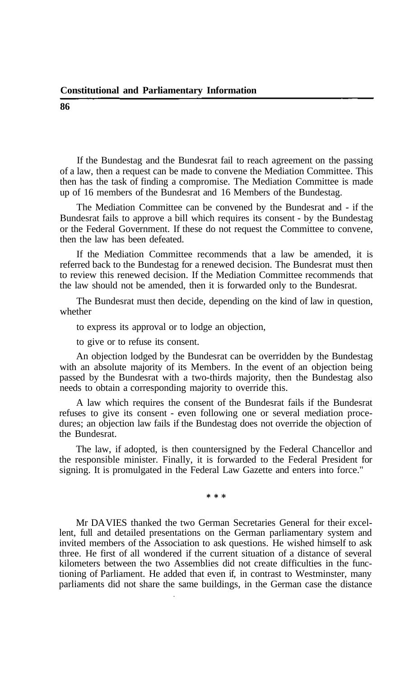If the Bundestag and the Bundesrat fail to reach agreement on the passing of a law, then a request can be made to convene the Mediation Committee. This then has the task of finding a compromise. The Mediation Committee is made up of 16 members of the Bundesrat and 16 Members of the Bundestag.

The Mediation Committee can be convened by the Bundesrat and - if the Bundesrat fails to approve a bill which requires its consent - by the Bundestag or the Federal Government. If these do not request the Committee to convene, then the law has been defeated.

If the Mediation Committee recommends that a law be amended, it is referred back to the Bundestag for a renewed decision. The Bundesrat must then to review this renewed decision. If the Mediation Committee recommends that the law should not be amended, then it is forwarded only to the Bundesrat.

The Bundesrat must then decide, depending on the kind of law in question, whether

to express its approval or to lodge an objection,

to give or to refuse its consent.

An objection lodged by the Bundesrat can be overridden by the Bundestag with an absolute majority of its Members. In the event of an objection being passed by the Bundesrat with a two-thirds majority, then the Bundestag also needs to obtain a corresponding majority to override this.

A law which requires the consent of the Bundesrat fails if the Bundesrat refuses to give its consent - even following one or several mediation procedures; an objection law fails if the Bundestag does not override the objection of the Bundesrat.

The law, if adopted, is then countersigned by the Federal Chancellor and the responsible minister. Finally, it is forwarded to the Federal President for signing. It is promulgated in the Federal Law Gazette and enters into force."

\* \* \*

Mr DA VIES thanked the two German Secretaries General for their excellent, full and detailed presentations on the German parliamentary system and invited members of the Association to ask questions. He wished himself to ask three. He first of all wondered if the current situation of a distance of several kilometers between the two Assemblies did not create difficulties in the functioning of Parliament. He added that even if, in contrast to Westminster, many parliaments did not share the same buildings, in the German case the distance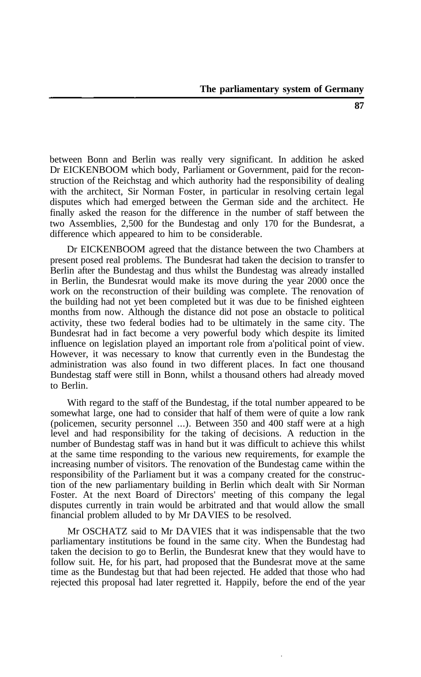between Bonn and Berlin was really very significant. In addition he asked Dr EICKENBOOM which body, Parliament or Government, paid for the reconstruction of the Reichstag and which authority had the responsibility of dealing with the architect, Sir Norman Foster, in particular in resolving certain legal disputes which had emerged between the German side and the architect. He finally asked the reason for the difference in the number of staff between the two Assemblies, 2,500 for the Bundestag and only 170 for the Bundesrat, a difference which appeared to him to be considerable.

Dr EICKENBOOM agreed that the distance between the two Chambers at present posed real problems. The Bundesrat had taken the decision to transfer to Berlin after the Bundestag and thus whilst the Bundestag was already installed in Berlin, the Bundesrat would make its move during the year 2000 once the work on the reconstruction of their building was complete. The renovation of the building had not yet been completed but it was due to be finished eighteen months from now. Although the distance did not pose an obstacle to political activity, these two federal bodies had to be ultimately in the same city. The Bundesrat had in fact become a very powerful body which despite its limited influence on legislation played an important role from a'political point of view. However, it was necessary to know that currently even in the Bundestag the administration was also found in two different places. In fact one thousand Bundestag staff were still in Bonn, whilst a thousand others had already moved to Berlin.

With regard to the staff of the Bundestag, if the total number appeared to be somewhat large, one had to consider that half of them were of quite a low rank (policemen, security personnel ...). Between 350 and 400 staff were at a high level and had responsibility for the taking of decisions. A reduction in the number of Bundestag staff was in hand but it was difficult to achieve this whilst at the same time responding to the various new requirements, for example the increasing number of visitors. The renovation of the Bundestag came within the responsibility of the Parliament but it was a company created for the construction of the new parliamentary building in Berlin which dealt with Sir Norman Foster. At the next Board of Directors' meeting of this company the legal disputes currently in train would be arbitrated and that would allow the small financial problem alluded to by Mr DA VIES to be resolved.

Mr OSCHATZ said to Mr DA VIES that it was indispensable that the two parliamentary institutions be found in the same city. When the Bundestag had taken the decision to go to Berlin, the Bundesrat knew that they would have to follow suit. He, for his part, had proposed that the Bundesrat move at the same time as the Bundestag but that had been rejected. He added that those who had rejected this proposal had later regretted it. Happily, before the end of the year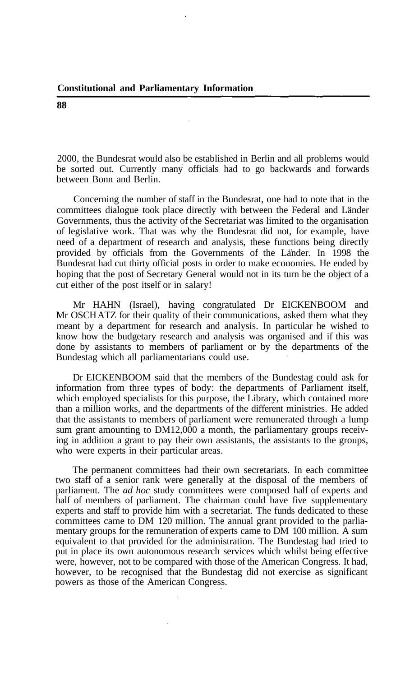2000, the Bundesrat would also be established in Berlin and all problems would be sorted out. Currently many officials had to go backwards and forwards between Bonn and Berlin.

Concerning the number of staff in the Bundesrat, one had to note that in the committees dialogue took place directly with between the Federal and Länder Governments, thus the activity of the Secretariat was limited to the organisation of legislative work. That was why the Bundesrat did not, for example, have need of a department of research and analysis, these functions being directly provided by officials from the Governments of the Lander. In 1998 the Bundesrat had cut thirty official posts in order to make economies. He ended by hoping that the post of Secretary General would not in its turn be the object of a cut either of the post itself or in salary!

Mr HAHN (Israel), having congratulated Dr EICKENBOOM and Mr OSCHATZ for their quality of their communications, asked them what they meant by a department for research and analysis. In particular he wished to know how the budgetary research and analysis was organised and if this was done by assistants to members of parliament or by the departments of the Bundestag which all parliamentarians could use.

Dr EICKENBOOM said that the members of the Bundestag could ask for information from three types of body: the departments of Parliament itself, which employed specialists for this purpose, the Library, which contained more than a million works, and the departments of the different ministries. He added that the assistants to members of parliament were remunerated through a lump sum grant amounting to DM12,000 a month, the parliamentary groups receiving in addition a grant to pay their own assistants, the assistants to the groups, who were experts in their particular areas.

The permanent committees had their own secretariats. In each committee two staff of a senior rank were generally at the disposal of the members of parliament. The *ad hoc* study committees were composed half of experts and half of members of parliament. The chairman could have five supplementary experts and staff to provide him with a secretariat. The funds dedicated to these committees came to DM 120 million. The annual grant provided to the parliamentary groups for the remuneration of experts came to DM 100 million. A sum equivalent to that provided for the administration. The Bundestag had tried to put in place its own autonomous research services which whilst being effective were, however, not to be compared with those of the American Congress. It had, however, to be recognised that the Bundestag did not exercise as significant powers as those of the American Congress.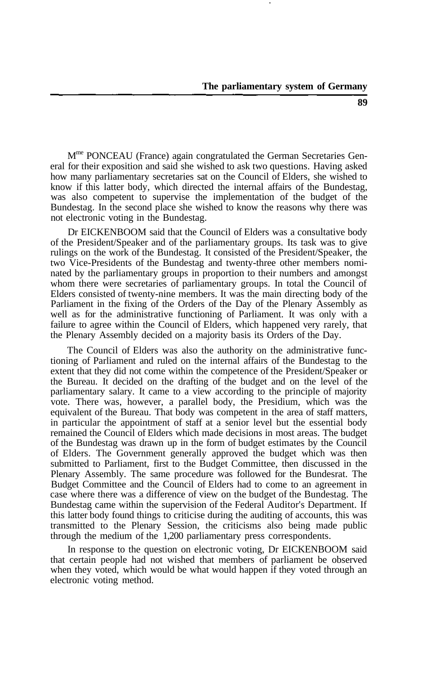M<sup>me</sup> PONCEAU (France) again congratulated the German Secretaries General for their exposition and said she wished to ask two questions. Having asked how many parliamentary secretaries sat on the Council of Elders, she wished to know if this latter body, which directed the internal affairs of the Bundestag, was also competent to supervise the implementation of the budget of the Bundestag. In the second place she wished to know the reasons why there was not electronic voting in the Bundestag.

Dr EICKENBOOM said that the Council of Elders was a consultative body of the President/Speaker and of the parliamentary groups. Its task was to give rulings on the work of the Bundestag. It consisted of the President/Speaker, the two Vice-Presidents of the Bundestag and twenty-three other members nominated by the parliamentary groups in proportion to their numbers and amongst whom there were secretaries of parliamentary groups. In total the Council of Elders consisted of twenty-nine members. It was the main directing body of the Parliament in the fixing of the Orders of the Day of the Plenary Assembly as well as for the administrative functioning of Parliament. It was only with a failure to agree within the Council of Elders, which happened very rarely, that the Plenary Assembly decided on a majority basis its Orders of the Day.

The Council of Elders was also the authority on the administrative functioning of Parliament and ruled on the internal affairs of the Bundestag to the extent that they did not come within the competence of the President/Speaker or the Bureau. It decided on the drafting of the budget and on the level of the parliamentary salary. It came to a view according to the principle of majority vote. There was, however, a parallel body, the Presidium, which was the equivalent of the Bureau. That body was competent in the area of staff matters, in particular the appointment of staff at a senior level but the essential body remained the Council of Elders which made decisions in most areas. The budget of the Bundestag was drawn up in the form of budget estimates by the Council of Elders. The Government generally approved the budget which was then submitted to Parliament, first to the Budget Committee, then discussed in the Plenary Assembly. The same procedure was followed for the Bundesrat. The Budget Committee and the Council of Elders had to come to an agreement in case where there was a difference of view on the budget of the Bundestag. The Bundestag came within the supervision of the Federal Auditor's Department. If this latter body found things to criticise during the auditing of accounts, this was transmitted to the Plenary Session, the criticisms also being made public through the medium of the 1,200 parliamentary press correspondents.

In response to the question on electronic voting, Dr EICKENBOOM said that certain people had not wished that members of parliament be observed when they voted, which would be what would happen if they voted through an electronic voting method.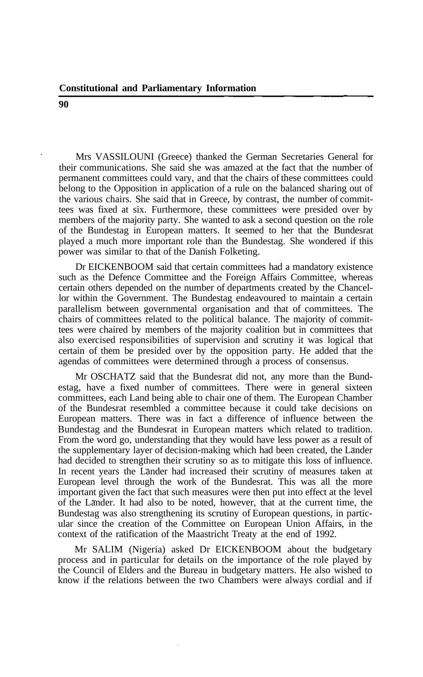Mrs VASSILOUNI (Greece) thanked the German Secretaries General for their communications. She said she was amazed at the fact that the number of permanent committees could vary, and that the chairs of these committees could belong to the Opposition in application of a rule on the balanced sharing out of the various chairs. She said that in Greece, by contrast, the number of committees was fixed at six. Furthermore, these committees were presided over by members of the majority party. She wanted to ask a second question on the role of the Bundestag in European matters. It seemed to her that the Bundesrat played a much more important role than the Bundestag. She wondered if this power was similar to that of the Danish Folketing.

Dr EICKENBOOM said that certain committees had a mandatory existence such as the Defence Committee and the Foreign Affairs Committee, whereas certain others depended on the number of departments created by the Chancellor within the Government. The Bundestag endeavoured to maintain a certain parallelism between governmental organisation and that of committees. The chairs of committees related to the political balance. The majority of committees were chaired by members of the majority coalition but in committees that also exercised responsibilities of supervision and scrutiny it was logical that certain of them be presided over by the opposition party. He added that the agendas of committees were determined through a process of consensus.

Mr OSCHATZ said that the Bundesrat did not, any more than the Bundestag, have a fixed number of committees. There were in general sixteen committees, each Land being able to chair one of them. The European Chamber of the Bundesrat resembled a committee because it could take decisions on European matters. There was in fact a difference of influence between the Bundestag and the Bundesrat in European matters which related to tradition. From the word go, understanding that they would have less power as a result of the supplementary layer of decision-making which had been created, the Länder had decided to strengthen their scrutiny so as to mitigate this loss of influence. In recent years the Länder had increased their scrutiny of measures taken at European level through the work of the Bundesrat. This was all the more important given the fact that such measures were then put into effect at the level of the Lander. It had also to be noted, however, that at the current time, the Bundestag was also strengthening its scrutiny of European questions, in particular since the creation of the Committee on European Union Affairs, in the context of the ratification of the Maastricht Treaty at the end of 1992.

Mr SALIM (Nigeria) asked Dr EICKENBOOM about the budgetary process and in particular for details on the importance of the role played by the Council of Elders and the Bureau in budgetary matters. He also wished to know if the relations between the two Chambers were always cordial and if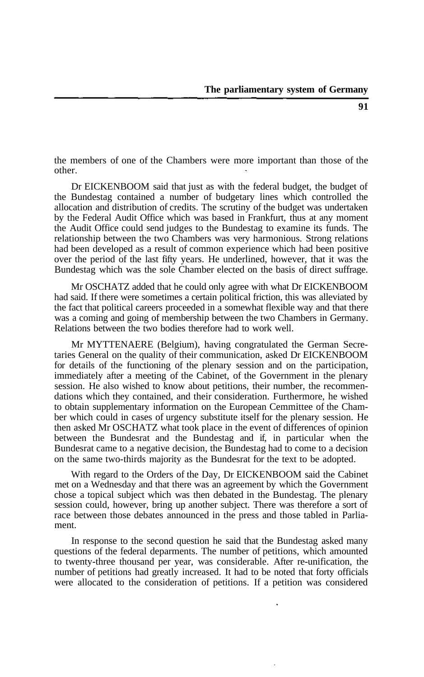the members of one of the Chambers were more important than those of the other.

Dr EICKENBOOM said that just as with the federal budget, the budget of the Bundestag contained a number of budgetary lines which controlled the allocation and distribution of credits. The scrutiny of the budget was undertaken by the Federal Audit Office which was based in Frankfurt, thus at any moment the Audit Office could send judges to the Bundestag to examine its funds. The relationship between the two Chambers was very harmonious. Strong relations had been developed as a result of common experience which had been positive over the period of the last fifty years. He underlined, however, that it was the Bundestag which was the sole Chamber elected on the basis of direct suffrage.

Mr OSCHATZ added that he could only agree with what Dr EICKENBOOM had said. If there were sometimes a certain political friction, this was alleviated by the fact that political careers proceeded in a somewhat flexible way and that there was a coming and going of membership between the two Chambers in Germany. Relations between the two bodies therefore had to work well.

Mr MYTTENAERE (Belgium), having congratulated the German Secretaries General on the quality of their communication, asked Dr EICKENBOOM for details of the functioning of the plenary session and on the participation, immediately after a meeting of the Cabinet, of the Government in the plenary session. He also wished to know about petitions, their number, the recommendations which they contained, and their consideration. Furthermore, he wished to obtain supplementary information on the European Cemmittee of the Chamber which could in cases of urgency substitute itself for the plenary session. He then asked Mr OSCHATZ what took place in the event of differences of opinion between the Bundesrat and the Bundestag and if, in particular when the Bundesrat came to a negative decision, the Bundestag had to come to a decision on the same two-thirds majority as the Bundesrat for the text to be adopted.

With regard to the Orders of the Day, Dr EICKENBOOM said the Cabinet met on a Wednesday and that there was an agreement by which the Government chose a topical subject which was then debated in the Bundestag. The plenary session could, however, bring up another subject. There was therefore a sort of race between those debates announced in the press and those tabled in Parliament.

In response to the second question he said that the Bundestag asked many questions of the federal deparments. The number of petitions, which amounted to twenty-three thousand per year, was considerable. After re-unification, the number of petitions had greatly increased. It had to be noted that forty officials were allocated to the consideration of petitions. If a petition was considered